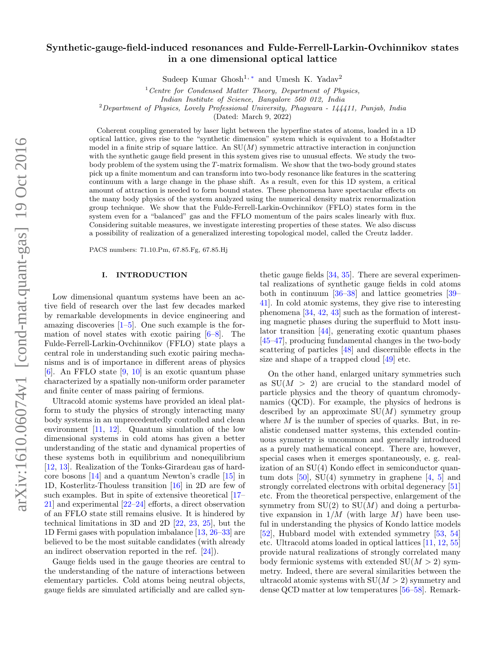# Synthetic-gauge-field-induced resonances and Fulde-Ferrell-Larkin-Ovchinnikov states in a one dimensional optical lattice

Sudeep Kumar Ghosh<sup>1,\*</sup> and Umesh K. Yadav<sup>2</sup>

 $1$  Centre for Condensed Matter Theory, Department of Physics,

Indian Institute of Science, Bangalore 560 012, India

 $2$ Department of Physics, Lovely Professional University, Phagwara - 144411, Punjab, India

(Dated: March 9, 2022)

Coherent coupling generated by laser light between the hyperfine states of atoms, loaded in a 1D optical lattice, gives rise to the "synthetic dimension" system which is equivalent to a Hofstadter model in a finite strip of square lattice. An  $SU(M)$  symmetric attractive interaction in conjunction with the synthetic gauge field present in this system gives rise to unusual effects. We study the twobody problem of the system using the T-matrix formalism. We show that the two-body ground states pick up a finite momentum and can transform into two-body resonance like features in the scattering continuum with a large change in the phase shift. As a result, even for this 1D system, a critical amount of attraction is needed to form bound states. These phenomena have spectacular effects on the many body physics of the system analyzed using the numerical density matrix renormalization group technique. We show that the Fulde-Ferrell-Larkin-Ovchinnikov (FFLO) states form in the system even for a "balanced" gas and the FFLO momentum of the pairs scales linearly with flux. Considering suitable measures, we investigate interesting properties of these states. We also discuss a possibility of realization of a generalized interesting topological model, called the Creutz ladder.

PACS numbers: 71.10.Pm, 67.85.Fg, 67.85.Hj

#### I. INTRODUCTION

Low dimensional quantum systems have been an active field of research over the last few decades marked by remarkable developments in device engineering and amazing discoveries  $[1–5]$  $[1–5]$ . One such example is the formation of novel states with exotic pairing [\[6](#page-10-1)[–8\]](#page-10-2). The Fulde-Ferrell-Larkin-Ovchinnikov (FFLO) state plays a central role in understanding such exotic pairing mechanisms and is of importance in different areas of physics  $[6]$ . An FFLO state  $[9, 10]$  $[9, 10]$  is an exotic quantum phase characterized by a spatially non-uniform order parameter and finite center of mass pairing of fermions.

Ultracold atomic systems have provided an ideal platform to study the physics of strongly interacting many body systems in an unprecedentedly controlled and clean environment [\[11,](#page-10-5) [12\]](#page-10-6). Quantum simulation of the low dimensional systems in cold atoms has given a better understanding of the static and dynamical properties of these systems both in equilibrium and nonequilibrium [\[12,](#page-10-6) [13\]](#page-10-7). Realization of the Tonks-Girardeau gas of hardcore bosons [\[14\]](#page-10-8) and a quantum Newton's cradle [\[15\]](#page-10-9) in 1D, Kosterlitz-Thouless transition [\[16\]](#page-10-10) in 2D are few of such examples. But in spite of extensive theoretical [\[17–](#page-10-11) [21\]](#page-10-12) and experimental [\[22](#page-10-13)[–24\]](#page-10-14) efforts, a direct observation of an FFLO state still remains elusive. It is hindered by technical limitations in 3D and 2D [\[22,](#page-10-13) [23,](#page-10-15) [25\]](#page-10-16), but the 1D Fermi gases with population imbalance [\[13,](#page-10-7) [26–](#page-10-17)[33\]](#page-10-18) are believed to be the most suitable candidates (with already an indirect observation reported in the ref. [\[24\]](#page-10-14)).

Gauge fields used in the gauge theories are central to the understanding of the nature of interactions between elementary particles. Cold atoms being neutral objects, gauge fields are simulated artificially and are called syn-

thetic gauge fields [\[34,](#page-10-19) [35\]](#page-10-20). There are several experimental realizations of synthetic gauge fields in cold atoms both in continuum [\[36](#page-10-21)[–38\]](#page-10-22) and lattice geometries [\[39–](#page-10-23) [41\]](#page-10-24). In cold atomic systems, they give rise to interesting phenomena [\[34,](#page-10-19) [42,](#page-10-25) [43\]](#page-10-26) such as the formation of interesting magnetic phases during the superfluid to Mott insulator transition [\[44\]](#page-10-27), generating exotic quantum phases [\[45–](#page-10-28)[47\]](#page-10-29), producing fundamental changes in the two-body scattering of particles [\[48\]](#page-10-30) and discernible effects in the size and shape of a trapped cloud [\[49\]](#page-10-31) etc.

On the other hand, enlarged unitary symmetries such as  $SU(M > 2)$  are crucial to the standard model of particle physics and the theory of quantum chromodynamics (QCD). For example, the physics of hedrons is described by an approximate  $SU(M)$  symmetry group where  $M$  is the number of species of quarks. But, in realistic condensed matter systems, this extended continuous symmetry is uncommon and generally introduced as a purely mathematical concept. There are, however, special cases when it emerges spontaneously, e. g. realization of an SU(4) Kondo effect in semiconductor quantum dots  $[50]$ , SU(4) symmetry in graphene  $[4, 5]$  $[4, 5]$  and strongly correlated electrons with orbital degeneracy [\[51\]](#page-10-34) etc. From the theoretical perspective, enlargement of the symmetry from  $SU(2)$  to  $SU(M)$  and doing a perturbative expansion in  $1/M$  (with large M) have been useful in understanding the physics of Kondo lattice models [\[52\]](#page-10-35), Hubbard model with extended symmetry [\[53,](#page-10-36) [54\]](#page-10-37) etc. Ultracold atoms loaded in optical lattices [\[11,](#page-10-5) [12,](#page-10-6) [55\]](#page-10-38) provide natural realizations of strongly correlated many body fermionic systems with extended  $SU(M > 2)$  symmetry. Indeed, there are several similarities between the ultracold atomic systems with  $SU(M > 2)$  symmetry and dense QCD matter at low temperatures [\[56–](#page-10-39)[58\]](#page-10-40). Remark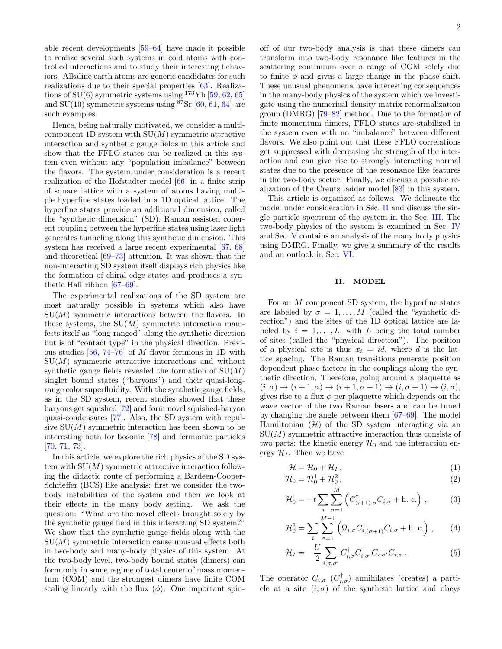able recent developments [\[59](#page-10-41)[–64\]](#page-11-0) have made it possible to realize several such systems in cold atoms with controlled interactions and to study their interesting behaviors. Alkaline earth atoms are generic candidates for such realizations due to their special properties [\[63\]](#page-11-1). Realizations of SU(6) symmetric systems using  $173\overline{Yb}$  [\[59,](#page-10-41) [62,](#page-11-2) [65\]](#page-11-3) and  $SU(10)$  symmetric systems using <sup>87</sup>Sr [\[60,](#page-10-42) [61,](#page-10-43) [64\]](#page-11-0) are such examples.

Hence, being naturally motivated, we consider a multicomponent 1D system with  $SU(M)$  symmetric attractive interaction and synthetic gauge fields in this article and show that the FFLO states can be realized in this system even without any "population imbalance" between the flavors. The system under consideration is a recent realization of the Hofstadter model [\[66\]](#page-11-4) in a finite strip of square lattice with a system of atoms having multiple hyperfine states loaded in a 1D optical lattice. The hyperfine states provide an additional dimension, called the "synthetic dimension" (SD). Raman assisted coherent coupling between the hyperfine states using laser light generates tunneling along this synthetic dimension. This system has received a large recent experimental [\[67,](#page-11-5) [68\]](#page-11-6) and theoretical [\[69](#page-11-7)[–73\]](#page-11-8) attention. It was shown that the non-interacting SD system itself displays rich physics like the formation of chiral edge states and produces a synthetic Hall ribbon [\[67](#page-11-5)[–69\]](#page-11-7).

The experimental realizations of the SD system are most naturally possible in systems which also have  $SU(M)$  symmetric interactions between the flavors. In these systems, the  $SU(M)$  symmetric interaction manifests itself as "long-ranged" along the synthetic direction but is of "contact type" in the physical direction. Previous studies  $[56, 74-76]$  $[56, 74-76]$  $[56, 74-76]$  of M flavor fermions in 1D with  $SU(M)$  symmetric attractive interactions and without synthetic gauge fields revealed the formation of  $SU(M)$ singlet bound states ("baryons") and their quasi-longrange color superfluidity. With the synthetic gauge fields, as in the SD system, recent studies showed that these baryons get squished [\[72\]](#page-11-11) and form novel squished-baryon quasi-condensates [\[77\]](#page-11-12). Also, the SD system with repulsive  $SU(M)$  symmetric interaction has been shown to be interesting both for bosonic [\[78\]](#page-11-13) and fermionic particles [\[70,](#page-11-14) [71,](#page-11-15) [73\]](#page-11-8).

In this article, we explore the rich physics of the SD system with  $SU(M)$  symmetric attractive interaction following the didactic route of performing a Bardeen-Cooper-Schrieffer (BCS) like analysis: first we consider the twobody instabilities of the system and then we look at their effects in the many body setting. We ask the question: "What are the novel effects brought solely by the synthetic gauge field in this interacting SD system?" We show that the synthetic gauge fields along with the  $SU(M)$  symmetric interaction cause unusual effects both in two-body and many-body physics of this system. At the two-body level, two-body bound states (dimers) can form only in some regime of total center of mass momentum (COM) and the strongest dimers have finite COM scaling linearly with the flux  $(\phi)$ . One important spinoff of our two-body analysis is that these dimers can transform into two-body resonance like features in the scattering continuum over a range of COM solely due to finite  $\phi$  and gives a large change in the phase shift. These unusual phenomena have interesting consequences in the many-body physics of the system which we investigate using the numerical density matrix renormalization group (DMRG) [\[79–](#page-11-16)[82\]](#page-11-17) method. Due to the formation of finite momentum dimers, FFLO states are stabilized in the system even with no "imbalance" between different flavors. We also point out that these FFLO correlations get suppressed with decreasing the strength of the interaction and can give rise to strongly interacting normal states due to the presence of the resonance like features in the two-body sector. Finally, we discuss a possible realization of the Creutz ladder model [\[83\]](#page-11-18) in this system.

This article is organized as follows. We delineate the model under consideration in Sec. [II](#page-1-0) and discuss the single particle spectrum of the system in the Sec. [III.](#page-2-0) The two-body physics of the system is examined in Sec. [IV](#page-3-0) and Sec. [V](#page-5-0) contains an analysis of the many body physics using DMRG. Finally, we give a summary of the results and an outlook in Sec. [VI.](#page-8-0)

# <span id="page-1-0"></span>II. MODEL

For an M component SD system, the hyperfine states are labeled by  $\sigma = 1, \ldots, M$  (called the "synthetic direction") and the sites of the 1D optical lattice are labeled by  $i = 1, \ldots, L$ , with L being the total number of sites (called the "physical direction"). The position of a physical site is thus  $x_i = id$ , where d is the lattice spacing. The Raman transitions generate position dependent phase factors in the couplings along the synthetic direction. Therefore, going around a plaquette as  $(i, \sigma) \rightarrow (i+1, \sigma) \rightarrow (i+1, \sigma+1) \rightarrow (i, \sigma+1) \rightarrow (i, \sigma),$ gives rise to a flux  $\phi$  per plaquette which depends on the wave vector of the two Raman lasers and can be tuned by changing the angle between them [\[67–](#page-11-5)[69\]](#page-11-7). The model Hamiltonian  $(\mathcal{H})$  of the SD system interacting via an  $SU(M)$  symmetric attractive interaction thus consists of two parts: the kinetic energy  $\mathcal{H}_0$  and the interaction energy  $\mathcal{H}_I$ . Then we have

<span id="page-1-1"></span>
$$
\mathcal{H} = \mathcal{H}_0 + \mathcal{H}_I, \qquad (1)
$$

$$
\mathcal{H}_0 = \mathcal{H}_0^1 + \mathcal{H}_0^2, \qquad (2)
$$

$$
\mathcal{H}_0^1 = -t \sum_i \sum_{\sigma=1}^M \left( C_{(i+1),\sigma}^\dagger C_{i,\sigma} + \text{h. c.} \right), \tag{3}
$$

$$
\mathcal{H}_0^2 = \sum_i \sum_{\sigma=1}^{M-1} \left( \Omega_{i,\sigma} C_{i,(\sigma+1)}^\dagger C_{i,\sigma} + \text{h. c.} \right), \qquad (4)
$$

$$
\mathcal{H}_I = -\frac{U}{2} \sum_{i,\sigma,\sigma'} C_{i,\sigma}^\dagger C_{i,\sigma'}^\dagger C_{i,\sigma'} C_{i,\sigma} \,. \tag{5}
$$

The operator  $C_{i,\sigma}$   $(C_{i,\sigma}^{\dagger})$  annihilates (creates) a particle at a site  $(i, \sigma)$  of the synthetic lattice and obeys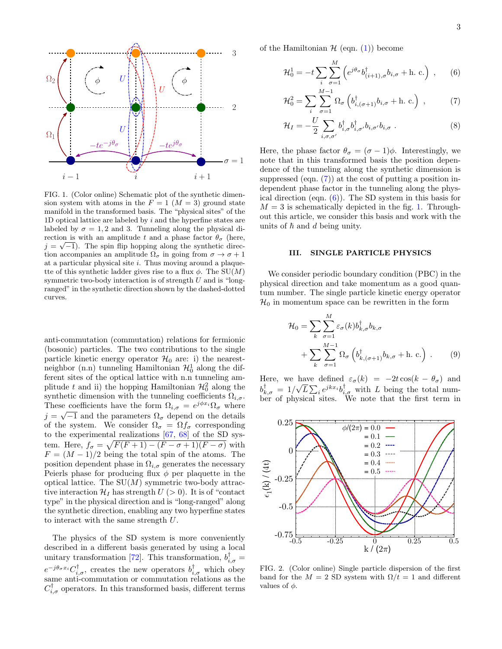

<span id="page-2-2"></span>FIG. 1. (Color online) Schematic plot of the synthetic dimension system with atoms in the  $F = 1$   $(M = 3)$  ground state manifold in the transformed basis. The "physical sites" of the 1D optical lattice are labeled by  $i$  and the hyperfine states are labeled by  $\sigma = 1, 2$  and 3. Tunneling along the physical direction is with an amplitude t and a phase factor  $\theta_{\sigma}$  (here,  $j = \sqrt{-1}$ . The spin flip hopping along the synthetic direction accompanies an amplitude  $\Omega_{\sigma}$  in going from  $\sigma \to \sigma + 1$ at a particular physical site  $i$ . Thus moving around a plaquette of this synthetic ladder gives rise to a flux  $\phi$ . The SU(M) symmetric two-body interaction is of strength  $U$  and is "longranged" in the synthetic direction shown by the dashed-dotted curves.

anti-commutation (commutation) relations for fermionic (bosonic) particles. The two contributions to the single particle kinetic energy operator  $\mathcal{H}_0$  are: i) the nearestneighbor  $(n.n)$  tunneling Hamiltonian  $\mathcal{H}_0^1$  along the different sites of the optical lattice with n.n tunneling amplitude t and ii) the hopping Hamiltonian  $\mathcal{H}_0^2$  along the synthetic dimension with the tunneling coefficients  $\Omega_{i,\sigma}$ . These coefficients have the form  $\Omega_{i,\sigma} = e^{j\phi x_i} \Omega_{\sigma}$  where  $j = \sqrt{-1}$  and the parameters  $\Omega_{\sigma}$  depend on the details of the system. We consider  $\Omega_{\sigma} = \Omega f_{\sigma}$  corresponding to the experimental realizations  $[67, 68]$  $[67, 68]$  of the SD system. Here,  $f_{\sigma} = \sqrt{F(F + 1) - (F - \sigma + 1)(F - \sigma)}$  with  $F = (M-1)/2$  being the total spin of the atoms. The position dependent phase in  $\Omega_{i,\sigma}$  generates the necessary Peierls phase for producing flux  $\phi$  per plaquette in the optical lattice. The  $SU(M)$  symmetric two-body attractive interaction  $\mathcal{H}_I$  has strength  $U > 0$ ). It is of "contact" type" in the physical direction and is "long-ranged" along the synthetic direction, enabling any two hyperfine states to interact with the same strength U.

The physics of the SD system is more conveniently described in a different basis generated by using a local unitary transformation [\[72\]](#page-11-11). This transformation,  $b_{i,\sigma}^{\dagger}$  =  $e^{-j\theta_{\sigma}x_i}C^{\dagger}_{i,\sigma}$ , creates the new operators  $b^{\dagger}_{i,\sigma}$  which obey same anti-commutation or commutation relations as the  $C^{\dagger}_{i,\sigma}$  operators. In this transformed basis, different terms

of the Hamiltonian  $H$  (eqn. [\(1\)](#page-1-1)) become

<span id="page-2-1"></span>
$$
\mathcal{H}_0^1 = -t \sum_{i} \sum_{\sigma=1}^M \left( e^{j\theta_\sigma} b_{(i+1),\sigma}^\dagger b_{i,\sigma} + \text{h. c.} \right) , \qquad (6)
$$
  

$$
M-1
$$

$$
\mathcal{H}_0^2 = \sum_i \sum_{\sigma=1}^{M-1} \Omega_{\sigma} \left( b_{i,(\sigma+1)}^{\dagger} b_{i,\sigma} + \text{h. c.} \right) , \qquad (7)
$$

$$
\mathcal{H}_I = -\frac{U}{2} \sum_{i,\sigma,\sigma'} b_{i,\sigma}^\dagger b_{i,\sigma'}^\dagger b_{i,\sigma'} b_{i,\sigma} . \tag{8}
$$

Here, the phase factor  $\theta_{\sigma} = (\sigma - 1)\phi$ . Interestingly, we note that in this transformed basis the position dependence of the tunneling along the synthetic dimension is suppressed (eqn.  $(7)$ ) at the cost of putting a position independent phase factor in the tunneling along the physical direction (eqn. [\(6\)](#page-2-1)). The SD system in this basis for  $M = 3$  is schematically depicted in the fig. [1.](#page-2-2) Throughout this article, we consider this basis and work with the units of  $\hbar$  and  $d$  being unity.

## <span id="page-2-0"></span>III. SINGLE PARTICLE PHYSICS

We consider periodic boundary condition (PBC) in the physical direction and take momentum as a good quantum number. The single particle kinetic energy operator  $\mathcal{H}_0$  in momentum space can be rewritten in the form

<span id="page-2-3"></span>
$$
\mathcal{H}_0 = \sum_k \sum_{\sigma=1}^M \varepsilon_\sigma(k) b_{k,\sigma}^\dagger b_{k,\sigma} \n+ \sum_k \sum_{\sigma=1}^{M-1} \Omega_\sigma \left( b_{k,(\sigma+1)}^\dagger b_{k,\sigma} + \text{h. c.} \right) .
$$
\n(9)

Here, we have defined  $\varepsilon_{\sigma}(k) = -2t \cos(k - \theta_{\sigma})$  and  $b_{k,\sigma}^{\dagger} = 1/\sqrt{L} \sum_{i} e^{jkx_i} b_{i,\sigma}^{\dagger}$  with L being the total number of physical sites. We note that the first term in



<span id="page-2-4"></span>FIG. 2. (Color online) Single particle dispersion of the first band for the  $M = 2$  SD system with  $\Omega/t = 1$  and different values of  $\phi$ .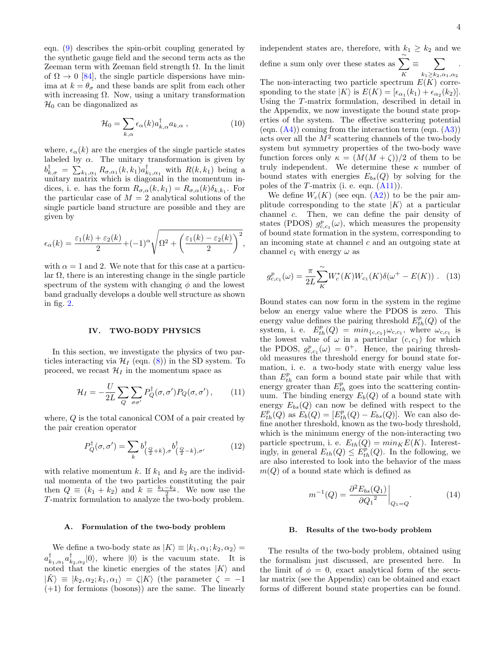eqn. [\(9\)](#page-2-3) describes the spin-orbit coupling generated by the synthetic gauge field and the second term acts as the Zeeman term with Zeeman field strength Ω. In the limit of  $\Omega \to 0$  [\[84\]](#page-11-19), the single particle dispersions have minima at  $k = \theta_{\sigma}$  and these bands are split from each other with increasing  $\Omega$ . Now, using a unitary transformation  $\mathcal{H}_0$  can be diagonalized as

$$
\mathcal{H}_0 = \sum_{k,\alpha} \epsilon_\alpha(k) a_{k,\alpha}^\dagger a_{k,\alpha} \,, \tag{10}
$$

where,  $\epsilon_{\alpha}(k)$  are the energies of the single particle states labeled by  $\alpha$ . The unitary transformation is given by  $b_{k,\sigma}^{\dagger} = \sum_{k_1,\alpha_1} R_{\sigma,\alpha_1}(k,k_1) a_{k_1,\alpha_1}^{\dagger}$  with  $R(k,k_1)$  being a unitary matrix which is diagonal in the momentum indices, i. e. has the form  $R_{\sigma,\alpha}(k,k_1) = R_{\sigma,\alpha}(k)\delta_{k,k_1}$ . For the particular case of  $M = 2$  analytical solutions of the single particle band structure are possible and they are given by

$$
\epsilon_{\alpha}(k) = \frac{\varepsilon_1(k) + \varepsilon_2(k)}{2} + (-1)^{\alpha} \sqrt{\Omega^2 + \left(\frac{\varepsilon_1(k) - \varepsilon_2(k)}{2}\right)^2},
$$

with  $\alpha = 1$  and 2. We note that for this case at a particular  $\Omega$ , there is an interesting change in the single particle spectrum of the system with changing  $\phi$  and the lowest band gradually develops a double well structure as shown in fig. [2.](#page-2-4)

#### <span id="page-3-0"></span>IV. TWO-BODY PHYSICS

In this section, we investigate the physics of two particles interacting via  $\mathcal{H}_I$  (eqn. [\(8\)](#page-2-1)) in the SD system. To proceed, we recast  $\mathcal{H}_I$  in the momentum space as

<span id="page-3-1"></span>
$$
\mathcal{H}_I = -\frac{U}{2L} \sum_{Q} \sum_{\sigma \sigma'} P_Q^{\dagger}(\sigma, \sigma') P_Q(\sigma, \sigma'), \qquad (11)
$$

where, Q is the total canonical COM of a pair created by the pair creation operator

<span id="page-3-2"></span>
$$
P_Q^{\dagger}(\sigma, \sigma') = \sum_k b_{(\frac{Q}{2} + k), \sigma}^{\dagger} b_{(\frac{Q}{2} - k), \sigma'}^{\dagger}
$$
 (12)

with relative momentum k. If  $k_1$  and  $k_2$  are the individual momenta of the two particles constituting the pair then  $Q \equiv (k_1 + k_2)$  and  $k \equiv \frac{k_1 - k_2}{2}$ . We now use the T-matrix formulation to analyze the two-body problem.

#### A. Formulation of the two-body problem

We define a two-body state as  $|K\rangle \equiv |k_1,\alpha_1;k_2,\alpha_2\rangle =$  $a_{k_1,\alpha_1}^{\dagger}a_{k_2,\alpha_2}^{\dagger}|0\rangle$ , where  $|0\rangle$  is the vacuum state. It is noted that the kinetic energies of the states  $|K\rangle$  and  $|K\rangle \equiv |k_2, \alpha_2; k_1, \alpha_1\rangle = \langle |K\rangle$  (the parameter  $\zeta = -1$  $(+1)$  for fermions (bosons)) are the same. The linearly

independent states are, therefore, with  $k_1 \geq k_2$  and we

define a sum only over these states as  $\sum_{n=1}^{\infty}$  $\sum\limits_{K} \equiv \sum\limits_{k_1 \geq k_2, \alpha}$  $k_1 \geq k_2, \alpha_1, \alpha_2$ . The non-interacting two particle spectrum  $E(K)$  corresponding to the state  $|K\rangle$  is  $E(K) = [\epsilon_{\alpha_1}(k_1) + \epsilon_{\alpha_2}(k_2)].$ Using the T-matrix formulation, described in detail in the Appendix, we now investigate the bound state properties of the system. The effective scattering potential (eqn.  $(A4)$ ) coming from the interaction term (eqn.  $(A3)$ ) acts over all the  $M^2$  scattering channels of the two-body system but symmetry properties of the two-body wave function forces only  $\kappa = (M(M + \zeta))/2$  of them to be truly independent. We determine these  $\kappa$  number of bound states with energies  $E_{bs}(Q)$  by solving for the poles of the  $T$ -matrix (i. e. eqn.  $(A11)$ ).

We define  $W_c(K)$  (see eqn.  $(A2)$ ) to be the pair amplitude corresponding to the state  $|K\rangle$  at a particular channel c. Then, we can define the pair density of Then, we can define the pair density of states (PDOS)  $g_{c,c_1}^p(\omega)$ , which measures the propensity of bound state formation in the system, corresponding to an incoming state at channel c and an outgoing state at channel  $c_1$  with energy  $\omega$  as

$$
g_{c,c_1}^p(\omega) = \frac{\pi}{2L} \sum_{K}^{\infty} W_c^*(K) W_{c_1}(K) \delta(\omega^+ - E(K)) \ . \tag{13}
$$

Bound states can now form in the system in the regime below an energy value where the PDOS is zero. This energy value defines the pairing threshold  $E_{th}^p(Q)$  of the system, i. e.  $E_{th}^p(Q) = min_{\{c,c_1\}} \omega_{c,c_1}$ , where  $\omega_{c,c_1}$  is the lowest value of  $\omega$  in a particular  $(c, c_1)$  for which the PDOS,  $g_{c,c_1}^p(\omega) = 0^+$ . Hence, the pairing threshold measures the threshold energy for bound state formation, i. e. a two-body state with energy value less than  $E_{th}^p$  can form a bound state pair while that with energy greater than  $E_{th}^p$  goes into the scattering continuum. The binding energy  $E_b(Q)$  of a bound state with energy  $E_{bs}(Q)$  can now be defined with respect to the  $E_{th}^p(Q)$  as  $E_b(Q) = [E_{th}^p(Q) - E_{bs}(Q)]$ . We can also define another threshold, known as the two-body threshold, which is the minimum energy of the non-interacting two particle spectrum, i. e.  $E_{th}(Q) = min_{K} E(K)$ . Interestingly, in general  $E_{th}(Q) \leq E_{th}^{p}(Q)$ . In the following, we are also interested to look into the behavior of the mass  $m(Q)$  of a bound state which is defined as

$$
m^{-1}(Q) = \frac{\partial^2 E_{bs}(Q_1)}{\partial Q_1^2} \bigg|_{Q_1 = Q}.
$$
 (14)

#### <span id="page-3-3"></span>B. Results of the two-body problem

The results of the two-body problem, obtained using the formalism just discussed, are presented here. In the limit of  $\phi = 0$ , exact analytical form of the secular matrix (see the Appendix) can be obtained and exact forms of different bound state properties can be found.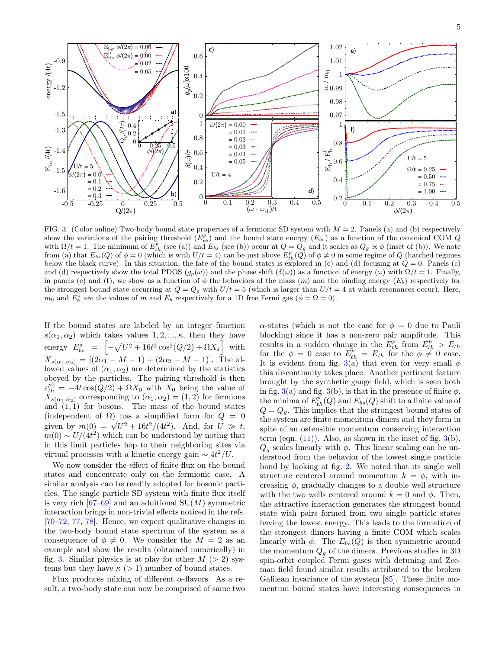

<span id="page-4-0"></span>FIG. 3. (Color online) Two-body bound state properties of a fermionic SD system with  $M = 2$ . Panels (a) and (b) respectively show the variations of the pairing threshold  $(E_{th}^p)$  and the bound state energy  $(E_{bs})$  as a function of the canonical COM  $Q$ with  $\Omega/t = 1$ . The minimum of  $E_{th}^p$  (see (a)) and  $E_{bs}$  (see (b)) occur at  $Q = Q_g$  and it scales as  $Q_g \propto \phi$  (inset of (b)). We note from (a) that  $E_{bs}(Q)$  of  $\phi = 0$  (which is with  $U/t = 4$ ) can be just above  $E_{th}^p(Q)$  of  $\phi \neq 0$  in some regime of Q (hatched regimes below the black curve). In this situation, the fate of the bound states is explored in (c) and (d) focusing at  $Q = 0$ . Panels (c) and (d) respectively show the total PDOS  $(g_p(\omega))$  and the phase shift  $(\delta(\omega))$  as a function of energy  $(\omega)$  with  $\Omega/t = 1$ . Finally, in panels (e) and (f), we show as a function of  $\phi$  the behaviors of the mass  $(m)$  and the binding energy  $(E_b)$  respectively for the strongest bound state occurring at  $Q = Q_g$  with  $U/t = 5$  (which is larger than  $U/t = 4$  at which resonances occur). Here,  $m_0$  and  $\overline{E}_b^0$  are the values of m and  $E_b$  respectively for a 1D free Fermi gas  $(\phi = \Omega = 0)$ .

If the bound states are labeled by an integer function  $s(\alpha_1, \alpha_2)$  which takes values  $1, 2, ..., \kappa$ , then they have energy  $E_{bs}^s = \left[ -\sqrt{U^2 + 16t^2 \cos^2(Q/2)} + \Omega X_s \right]$  with  $X_{s(\alpha_1,\alpha_2)} = [(2\alpha_1 - M - 1) + (2\alpha_2 - M - 1)].$  The allowed values of  $(\alpha_1, \alpha_2)$  are determined by the statistics obeyed by the particles. The pairing threshold is then  $\varepsilon_{th}^{p0} = -4t \cos(Q/2) + \Omega X_0$  with  $X_0$  being the value of  $X_{s(\alpha_1,\alpha_2)}$  corresponding to  $(\alpha_1,\alpha_2)=(1,2)$  for fermions and  $(1, 1)$  for bosons. The mass of the bound states (independent of  $\Omega$ ) has a simplified form for  $Q = 0$ given by  $m(0) = \sqrt{U^2 + 16t^2}/(4t^2)$ . And, for  $U \gg t$ ,  $m(0) \sim U/(4t^2)$  which can be understood by noting that in this limit particles hop to their neighboring sites via virtual processes with a kinetic energy gain  $\sim 4t^2/U$ .

We now consider the effect of finite flux on the bound states and concentrate only on the fermionic case. A similar analysis can be readily adopted for bosonic particles. The single particle SD system with finite flux itself is very rich  $[67-69]$  and an additional  $SU(M)$  symmetric interaction brings in non-trivial effects noticed in the refs. [\[70–](#page-11-14)[72,](#page-11-11) [77,](#page-11-12) [78\]](#page-11-13). Hence, we expect qualitative changes in the two-body bound state spectrum of the system as a consequence of  $\phi \neq 0$ . We consider the  $M = 2$  as an example and show the results (obtained numerically) in fig. [3.](#page-4-0) Similar physics is at play for other  $M > 2$ ) systems but they have  $\kappa$  (> 1) number of bound states.

Flux produces mixing of different  $\alpha$ -flavors. As a result, a two-body state can now be comprised of same two

 $\alpha$ -states (which is not the case for  $\phi = 0$  due to Pauli blocking) since it has a non-zero pair amplitude. This results in a sudden change in the  $E_{th}^p$  from  $E_{th}^p > E_{th}$ for the  $\phi = 0$  case to  $E_{th}^p = E_{th}$  for the  $\phi \neq 0$  case. It is evident from fig. [3\(](#page-4-0)a) that even for very small  $\phi$ this discontinuity takes place. Another pertinent feature brought by the synthetic gauge field, which is seen both in fig. [3\(](#page-4-0)a) and fig. 3(b), is that in the presence of finite  $\phi$ , the minima of  $E_{th}^p(Q)$  and  $E_{bs}(Q)$  shift to a finite value of  $Q = Q_q$ . This implies that the strongest bound states of the system are finite momentum dimers and they form in spite of an ostensible momentum conserving interaction term (eqn.  $(11)$ ). Also, as shown in the inset of fig.  $3(b)$  $3(b)$ ,  $Q<sub>g</sub>$  scales linearly with  $\phi$ . This linear scaling can be understood from the behavior of the lowest single particle band by looking at fig. [2.](#page-2-4) We noted that its single well structure centered around momentum  $k = \phi$ , with increasing  $\phi$ , gradually changes to a double well structure with the two wells centered around  $k = 0$  and  $\phi$ . Then, the attractive interaction generates the strongest bound state with pairs formed from two single particle states having the lowest energy. This leads to the formation of the strongest dimers having a finite COM which scales linearly with  $\phi$ . The  $E_{bs}(Q)$  is then symmetric around the momentum  $Q_g$  of the dimers. Previous studies in 3D spin-orbit coupled Fermi gases with detuning and Zeeman field found similar results attributed to the broken Galilean invariance of the system [\[85\]](#page-11-20). These finite momentum bound states have interesting consequences in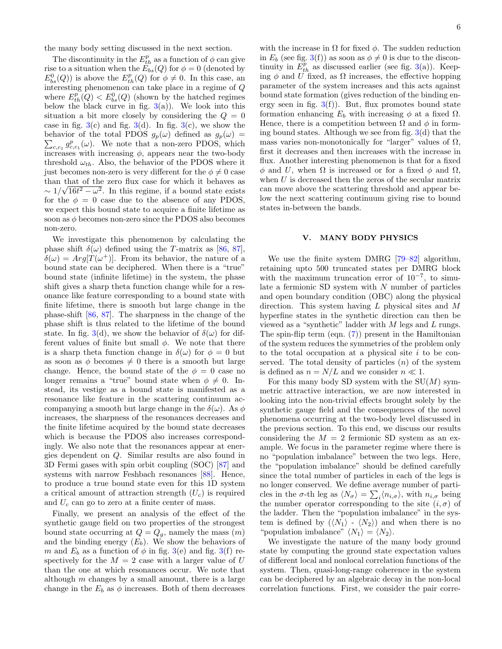the many body setting discussed in the next section.

The discontinuity in the  $E_{th}^p$  as a function of  $\phi$  can give rise to a situation when the  $E_{bs}^{r}(Q)$  for  $\phi = 0$  (denoted by  $E_{bs}^{0}(Q)$  is above the  $E_{th}^{p}(Q)$  for  $\phi \neq 0$ . In this case, an interesting phenomenon can take place in a regime of Q where  $E_{th}^p(Q) < E_{bs}^0(Q)$  (shown by the hatched regimes below the black curve in fig.  $3(a)$  $3(a)$ ). We look into this situation a bit more closely by considering the  $Q = 0$ case in fig.  $3(c)$  $3(c)$  and fig.  $3(d)$ . In fig.  $3(c)$ , we show the  $\sum_{c,c_1} g_{c,c_1}^p(\omega)$ . We note that a non-zero PDOS, which behavior of the total PDOS  $g_p(\omega)$  defined as  $g_p(\omega)$  = increases with increasing  $\phi$ , appears near the two-body threshold  $\omega_{th}$ . Also, the behavior of the PDOS where it just becomes non-zero is very different for the  $\phi \neq 0$  case than that of the zero flux case for which it behaves as  $\sim 1/\sqrt{16t^2 - \omega^2}$ . In this regime, if a bound state exists for the  $\phi = 0$  case due to the absence of any PDOS, we expect this bound state to acquire a finite lifetime as soon as  $\phi$  becomes non-zero since the PDOS also becomes non-zero.

We investigate this phenomenon by calculating the phase shift  $\delta(\omega)$  defined using the T-matrix as [\[86,](#page-11-21) [87\]](#page-11-22),  $\delta(\omega) = Arg[\dot{T}(\omega^+)]$ . From its behavior, the nature of a bound state can be deciphered. When there is a "true" bound state (infinite lifetime) in the system, the phase shift gives a sharp theta function change while for a resonance like feature corresponding to a bound state with finite lifetime, there is smooth but large change in the phase-shift [\[86,](#page-11-21) [87\]](#page-11-22). The sharpness in the change of the phase shift is thus related to the lifetime of the bound state. In fig. [3\(](#page-4-0)d), we show the behavior of  $\delta(\omega)$  for different values of finite but small  $\phi$ . We note that there is a sharp theta function change in  $\delta(\omega)$  for  $\phi = 0$  but as soon as  $\phi$  becomes  $\neq 0$  there is a smooth but large change. Hence, the bound state of the  $\phi = 0$  case no longer remains a "true" bound state when  $\phi \neq 0$ . Instead, its vestige as a bound state is manifested as a resonance like feature in the scattering continuum accompanying a smooth but large change in the  $\delta(\omega)$ . As  $\phi$ increases, the sharpness of the resonances decreases and the finite lifetime acquired by the bound state decreases which is because the PDOS also increases correspondingly. We also note that the resonances appear at energies dependent on Q. Similar results are also found in 3D Fermi gases with spin orbit coupling (SOC) [\[87\]](#page-11-22) and systems with narrow Feshbach resonances [\[88\]](#page-11-23). Hence, to produce a true bound state even for this 1D system a critical amount of attraction strength  $(U<sub>c</sub>)$  is required and  $U_c$  can go to zero at a finite center of mass.

Finally, we present an analysis of the effect of the synthetic gauge field on two properties of the strongest bound state occurring at  $Q = Q_g$ , namely the mass  $(m)$ and the binding energy  $(E_b)$ . We show the behaviors of m and  $E_b$  as a function of  $\phi$  in fig. [3\(](#page-4-0)e) and fig. 3(f) respectively for the  $M = 2$  case with a larger value of U than the one at which resonances occur. We note that although  $m$  changes by a small amount, there is a large change in the  $E_b$  as  $\phi$  increases. Both of them decreases

with the increase in  $\Omega$  for fixed  $\phi$ . The sudden reduction in  $E_b$  (see fig. [3\(](#page-4-0)f)) as soon as  $\phi \neq 0$  is due to the discontinuity in  $E_{th}^p$  as discussed earlier (see fig. [3\(](#page-4-0)a)). Keeping  $\phi$  and U fixed, as  $\Omega$  increases, the effective hopping parameter of the system increases and this acts against bound state formation (gives reduction of the binding energy seen in fig.  $3(f)$  $3(f)$ ). But, flux promotes bound state formation enhancing  $E_b$  with increasing  $\phi$  at a fixed  $\Omega$ . Hence, there is a competition between  $\Omega$  and  $\phi$  in forming bound states. Although we see from fig.  $3(d)$  $3(d)$  that the mass varies non-monotonically for "larger" values of  $\Omega$ , first it decreases and then increases with the increase in flux. Another interesting phenomenon is that for a fixed  $\phi$  and U, when Ω is increased or for a fixed  $\phi$  and  $\Omega$ , when  $U$  is decreased then the zeros of the secular matrix can move above the scattering threshold and appear below the next scattering continuum giving rise to bound states in-between the bands.

### <span id="page-5-0"></span>V. MANY BODY PHYSICS

We use the finite system DMRG [\[79–](#page-11-16)[82\]](#page-11-17) algorithm, retaining upto 500 truncated states per DMRG block with the maximum truncation error of  $10^{-7}$ , to simulate a fermionic SD system with  $N$  number of particles and open boundary condition (OBC) along the physical direction. This system having L physical sites and M hyperfine states in the synthetic direction can then be viewed as a "synthetic" ladder with  $M$  legs and  $L$  rungs. The spin-flip term (eqn. [\(7\)](#page-2-1)) present in the Hamiltonian of the system reduces the symmetries of the problem only to the total occupation at a physical site  $i$  to be conserved. The total density of particles  $(n)$  of the system is defined as  $n = N/L$  and we consider  $n \ll 1$ .

For this many body SD system with the  $SU(M)$  symmetric attractive interaction, we are now interested in looking into the non-trivial effects brought solely by the synthetic gauge field and the consequences of the novel phenomena occurring at the two-body level discussed in the previous section. To this end, we discuss our results considering the  $M = 2$  fermionic SD system as an example. We focus in the parameter regime where there is no "population imbalance" between the two legs. Here, the "population imbalance" should be defined carefully since the total number of particles in each of the legs is no longer conserved. We define average number of particles in the  $\sigma$ -th leg as  $\langle N_{\sigma} \rangle = \sum_i \langle n_{i,\sigma} \rangle$ , with  $n_{i,\sigma}$  being the number operator corresponding to the site  $(i, \sigma)$  of the ladder. Then the "population imbalance" in the system is defined by  $(\langle N_1 \rangle - \langle N_2 \rangle)$  and when there is no "population imbalance"  $\langle N_1 \rangle = \langle N_2 \rangle$ .

We investigate the nature of the many body ground state by computing the ground state expectation values of different local and nonlocal correlation functions of the system. Then, quasi-long-range coherence in the system can be deciphered by an algebraic decay in the non-local correlation functions. First, we consider the pair corre-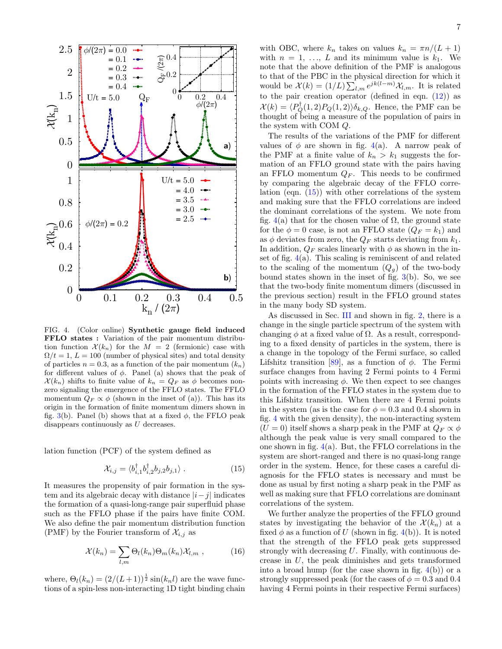

<span id="page-6-0"></span>FIG. 4. (Color online) Synthetic gauge field induced FFLO states : Variation of the pair momentum distribution function  $\mathcal{X}(k_n)$  for the  $M = 2$  (fermionic) case with  $\Omega/t = 1, L = 100$  (number of physical sites) and total density of particles  $n = 0.3$ , as a function of the pair momentum  $(k_n)$ for different values of  $\phi$ . Panel (a) shows that the peak of  $\mathcal{X}(k_n)$  shifts to finite value of  $k_n = Q_F$  as  $\phi$  becomes nonzero signaling the emergence of the FFLO states. The FFLO momentum  $Q_F \propto \phi$  (shown in the inset of (a)). This has its origin in the formation of finite momentum dimers shown in fig. [3\(](#page-4-0)b). Panel (b) shows that at a fixed  $\phi$ , the FFLO peak disappears continuously as U decreases.

lation function (PCF) of the system defined as

<span id="page-6-1"></span>
$$
\mathcal{X}_{i,j} = \langle b_{i,1}^{\dagger} b_{i,2}^{\dagger} b_{j,2} b_{j,1} \rangle . \tag{15}
$$

It measures the propensity of pair formation in the system and its algebraic decay with distance  $|i-j|$  indicates the formation of a quasi-long-range pair superfluid phase such as the FFLO phase if the pairs have finite COM. We also define the pair momentum distribution function (PMF) by the Fourier transform of  $\mathcal{X}_{i,j}$  as

$$
\mathcal{X}(k_n) = \sum_{l,m} \Theta_l(k_n) \Theta_m(k_n) \mathcal{X}_{l,m} , \qquad (16)
$$

where,  $\Theta_l(k_n) = (2/(L+1))^{\frac{1}{2}} \sin(k_n l)$  are the wave functions of a spin-less non-interacting 1D tight binding chain with OBC, where  $k_n$  takes on values  $k_n = \pi n/(L+1)$ with  $n = 1, \ldots, L$  and its minimum value is  $k_1$ . We note that the above definition of the PMF is analogous to that of the PBC in the physical direction for which it would be  $\mathcal{X}(k) = (1/L) \sum_{l,m} e^{jk(l-m)} \mathcal{X}_{l,m}$ . It is related to the pair creation operator (defined in eqn.  $(12)$ ) as  $\mathcal{X}(k) = \langle P^{\dagger}_Q(1,2)P_Q(1,2)\rangle \delta_{k,Q}$ . Hence, the PMF can be thought of being a measure of the population of pairs in the system with COM Q.

The results of the variations of the PMF for different values of  $\phi$  are shown in fig. [4\(](#page-6-0)a). A narrow peak of the PMF at a finite value of  $k_n > k_1$  suggests the formation of an FFLO ground state with the pairs having an FFLO momentum  $Q_F$ . This needs to be confirmed by comparing the algebraic decay of the FFLO correlation (eqn.  $(15)$ ) with other correlations of the system and making sure that the FFLO correlations are indeed the dominant correlations of the system. We note from fig. [4\(](#page-6-0)a) that for the chosen value of  $\Omega$ , the ground state for the  $\phi = 0$  case, is not an FFLO state  $(Q_F = k_1)$  and as  $\phi$  deviates from zero, the  $Q_F$  starts deviating from  $k_1$ . In addition,  $Q_F$  scales linearly with  $\phi$  as shown in the inset of fig. [4\(](#page-6-0)a). This scaling is reminiscent of and related to the scaling of the momentum  $(Q_g)$  of the two-body bound states shown in the inset of fig.  $3(b)$  $3(b)$ . So, we see that the two-body finite momentum dimers (discussed in the previous section) result in the FFLO ground states in the many body SD system.

As discussed in Sec. [III](#page-2-0) and shown in fig. [2,](#page-2-4) there is a change in the single particle spectrum of the system with changing  $\phi$  at a fixed value of  $\Omega$ . As a result, corresponding to a fixed density of particles in the system, there is a change in the topology of the Fermi surface, so called Lifshitz transition [\[89\]](#page-11-24), as a function of  $\phi$ . The Fermi surface changes from having 2 Fermi points to 4 Fermi points with increasing  $\phi$ . We then expect to see changes in the formation of the FFLO states in the system due to this Lifshitz transition. When there are 4 Fermi points in the system (as is the case for  $\phi = 0.3$  and 0.4 shown in fig. [4](#page-6-0) with the given density), the non-interacting system  $(U = 0)$  itself shows a sharp peak in the PMF at  $Q_F \propto \phi$ although the peak value is very small compared to the one shown in fig.  $4(a)$  $4(a)$ . But, the FFLO correlations in the system are short-ranged and there is no quasi-long range order in the system. Hence, for these cases a careful diagnosis for the FFLO states is necessary and must be done as usual by first noting a sharp peak in the PMF as well as making sure that FFLO correlations are dominant correlations of the system.

We further analyze the properties of the FFLO ground states by investigating the behavior of the  $\mathcal{X}(k_n)$  at a fixed  $\phi$  as a function of U (shown in fig. [4\(](#page-6-0)b)). It is noted that the strength of the FFLO peak gets suppressed strongly with decreasing U. Finally, with continuous decrease in U, the peak diminishes and gets transformed into a broad hump (for the case shown in fig.  $4(b)$  $4(b)$ ) or a strongly suppressed peak (for the cases of  $\phi = 0.3$  and 0.4 having 4 Fermi points in their respective Fermi surfaces)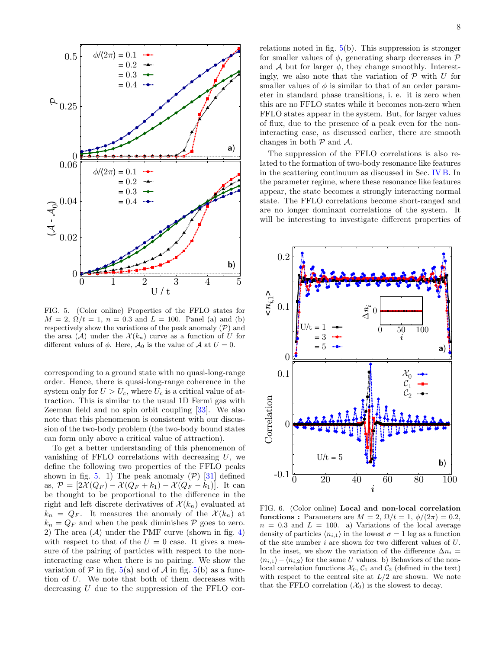

<span id="page-7-0"></span>FIG. 5. (Color online) Properties of the FFLO states for  $M = 2, \Omega/t = 1, n = 0.3$  and  $L = 100$ . Panel (a) and (b) respectively show the variations of the peak anomaly  $(\mathcal{P})$  and the area  $(\mathcal{A})$  under the  $\mathcal{X}(k_n)$  curve as a function of U for different values of  $\phi$ . Here,  $\mathcal{A}_0$  is the value of  $\mathcal{A}$  at  $U=0$ .

corresponding to a ground state with no quasi-long-range order. Hence, there is quasi-long-range coherence in the system only for  $U > U_c$ , where  $U_c$  is a critical value of attraction. This is similar to the usual 1D Fermi gas with Zeeman field and no spin orbit coupling [\[33\]](#page-10-18). We also note that this phenomenon is consistent with our discussion of the two-body problem (the two-body bound states can form only above a critical value of attraction).

To get a better understanding of this phenomenon of vanishing of FFLO correlations with decreasing  $U$ , we define the following two properties of the FFLO peaks shown in fig. [5.](#page-7-0) 1) The peak anomaly  $(\mathcal{P})$  [\[31\]](#page-10-44) defined as,  $\mathcal{P} = [2\mathcal{X}(Q_F) - \mathcal{X}(Q_F + k_1) - \mathcal{X}(Q_F - k_1)].$  It can be thought to be proportional to the difference in the right and left discrete derivatives of  $\mathcal{X}(k_n)$  evaluated at  $k_n = Q_F$ . It measures the anomaly of the  $\mathcal{X}(k_n)$  at  $k_n = Q_F$  and when the peak diminishes  $P$  goes to zero. 2) The area  $(\mathcal{A})$  under the PMF curve (shown in fig. [4\)](#page-6-0) with respect to that of the  $U = 0$  case. It gives a measure of the pairing of particles with respect to the noninteracting case when there is no pairing. We show the variation of  $P$  in fig. [5\(](#page-7-0)a) and of  $A$  in fig. 5(b) as a function of U. We note that both of them decreases with decreasing U due to the suppression of the FFLO correlations noted in fig. [5\(](#page-7-0)b). This suppression is stronger for smaller values of  $\phi$ , generating sharp decreases in  $\mathcal P$ and  $A$  but for larger  $\phi$ , they change smoothly. Interestingly, we also note that the variation of  $P$  with U for smaller values of  $\phi$  is similar to that of an order parameter in standard phase transitions, i. e. it is zero when this are no FFLO states while it becomes non-zero when FFLO states appear in the system. But, for larger values of flux, due to the presence of a peak even for the noninteracting case, as discussed earlier, there are smooth changes in both  $P$  and  $A$ .

The suppression of the FFLO correlations is also related to the formation of two-body resonance like features in the scattering continuum as discussed in Sec. [IV B.](#page-3-3) In the parameter regime, where these resonance like features appear, the state becomes a strongly interacting normal state. The FFLO correlations become short-ranged and are no longer dominant correlations of the system. It will be interesting to investigate different properties of



<span id="page-7-1"></span>FIG. 6. (Color online) Local and non-local correlation functions : Parameters are  $M = 2$ ,  $\Omega/t = 1$ ,  $\phi/(2\pi) = 0.2$ ,  $n = 0.3$  and  $L = 100$ . a) Variations of the local average density of particles  $\langle n_{i,1} \rangle$  in the lowest  $\sigma = 1$  leg as a function of the site number i are shown for two different values of U. In the inset, we show the variation of the difference  $\Delta n_i =$  $\langle n_{i,1} \rangle - \langle n_{i,2} \rangle$  for the same U values. b) Behaviors of the nonlocal correlation functions  $\mathcal{X}_0$ ,  $\mathcal{C}_1$  and  $\mathcal{C}_2$  (defined in the text) with respect to the central site at  $L/2$  are shown. We note that the FFLO correlation  $(\mathcal{X}_0)$  is the slowest to decay.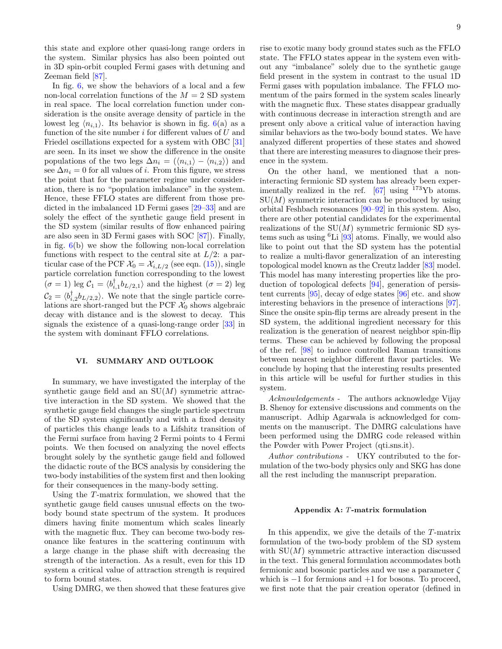this state and explore other quasi-long range orders in the system. Similar physics has also been pointed out in 3D spin-orbit coupled Fermi gases with detuning and Zeeman field [\[87\]](#page-11-22).

In fig. [6,](#page-7-1) we show the behaviors of a local and a few non-local correlation functions of the  $M = 2$  SD system in real space. The local correlation function under consideration is the onsite average density of particle in the lowest leg  $\langle n_{i,1} \rangle$ . Its behavior is shown in fig. [6\(](#page-7-1)a) as a function of the site number  $i$  for different values of  $U$  and Friedel oscillations expected for a system with OBC [\[31\]](#page-10-44) are seen. In its inset we show the difference in the onsite populations of the two legs  $\Delta n_i = (\langle n_{i,1} \rangle - \langle n_{i,2} \rangle)$  and see  $\Delta n_i = 0$  for all values of *i*. From this figure, we stress the point that for the parameter regime under consideration, there is no "population imbalance" in the system. Hence, these FFLO states are different from those predicted in the imbalanced 1D Fermi gases [\[29–](#page-10-45)[33\]](#page-10-18) and are solely the effect of the synthetic gauge field present in the SD system (similar results of flow enhanced pairing are also seen in 3D Fermi gases with SOC [\[87\]](#page-11-22)). Finally, in fig.  $6(b)$  $6(b)$  we show the following non-local correlation functions with respect to the central site at  $L/2$ : a particular case of the PCF  $\mathcal{X}_0 = \mathcal{X}_{i,L/2}$  (see eqn. [\(15\)](#page-6-1)), single particle correlation function corresponding to the lowest  $(\sigma = 1)$  leg  $C_1 = \langle b_{i,1}^{\dagger} b_{L/2,1} \rangle$  and the highest  $(\sigma = 2)$  leg  $\mathcal{C}_2 = \langle b_{i,2}^\dagger b_{L/2,2} \rangle$ . We note that the single particle correlations are short-ranged but the PCF  $\mathcal{X}_0$  shows algebraic decay with distance and is the slowest to decay. This signals the existence of a quasi-long-range order [\[33\]](#page-10-18) in the system with dominant FFLO correlations.

# <span id="page-8-0"></span>VI. SUMMARY AND OUTLOOK

In summary, we have investigated the interplay of the synthetic gauge field and an  $SU(M)$  symmetric attractive interaction in the SD system. We showed that the synthetic gauge field changes the single particle spectrum of the SD system significantly and with a fixed density of particles this change leads to a Lifshitz transition of the Fermi surface from having 2 Fermi points to 4 Fermi points. We then focused on analyzing the novel effects brought solely by the synthetic gauge field and followed the didactic route of the BCS analysis by considering the two-body instabilities of the system first and then looking for their consequences in the many-body setting.

Using the T-matrix formulation, we showed that the synthetic gauge field causes unusual effects on the twobody bound state spectrum of the system. It produces dimers having finite momentum which scales linearly with the magnetic flux. They can become two-body resonance like features in the scattering continuum with a large change in the phase shift with decreasing the strength of the interaction. As a result, even for this 1D system a critical value of attraction strength is required to form bound states.

Using DMRG, we then showed that these features give

rise to exotic many body ground states such as the FFLO state. The FFLO states appear in the system even without any "imbalance" solely due to the synthetic gauge field present in the system in contrast to the usual 1D Fermi gases with population imbalance. The FFLO momentum of the pairs formed in the system scales linearly with the magnetic flux. These states disappear gradually with continuous decrease in interaction strength and are present only above a critical value of interaction having similar behaviors as the two-body bound states. We have analyzed different properties of these states and showed that there are interesting measures to diagnose their presence in the system.

On the other hand, we mentioned that a noninteracting fermionic SD system has already been experimentally realized in the ref.  $[67]$  using  $173$ Yb atoms.  $SU(M)$  symmetric interaction can be produced by using orbital Feshbach resonances [\[90–](#page-11-25)[92\]](#page-11-26) in this system. Also, there are other potential candidates for the experimental realizations of the  $SU(M)$  symmetric fermionic SD systems such as using  ${}^{6}$ Li [\[93\]](#page-11-27) atoms. Finally, we would also like to point out that the SD system has the potential to realize a multi-flavor generalization of an interesting topological model known as the Creutz ladder [\[83\]](#page-11-18) model. This model has many interesting properties like the production of topological defects [\[94\]](#page-11-28), generation of persistent currents [\[95\]](#page-11-29), decay of edge states [\[96\]](#page-11-30) etc. and show interesting behaviors in the presence of interactions [\[97\]](#page-11-31). Since the onsite spin-flip terms are already present in the SD system, the additional ingredient necessary for this realization is the generation of nearest neighbor spin-flip terms. These can be achieved by following the proposal of the ref. [\[98\]](#page-11-32) to induce controlled Raman transitions between nearest neighbor different flavor particles. We conclude by hoping that the interesting results presented in this article will be useful for further studies in this system.

Acknowledgements - The authors acknowledge Vijay B. Shenoy for extensive discussions and comments on the manuscript. Adhip Agarwala is acknowledged for comments on the manuscript. The DMRG calculations have been performed using the DMRG code released within the Powder with Power Project (qti.sns.it).

Author contributions - UKY contributed to the formulation of the two-body physics only and SKG has done all the rest including the manuscript preparation.

#### Appendix A: T-matrix formulation

In this appendix, we give the details of the T-matrix formulation of the two-body problem of the SD system with  $SU(M)$  symmetric attractive interaction discussed in the text. This general formulation accommodates both fermionic and bosonic particles and we use a parameter  $\zeta$ which is  $-1$  for fermions and  $+1$  for bosons. To proceed, we first note that the pair creation operator (defined in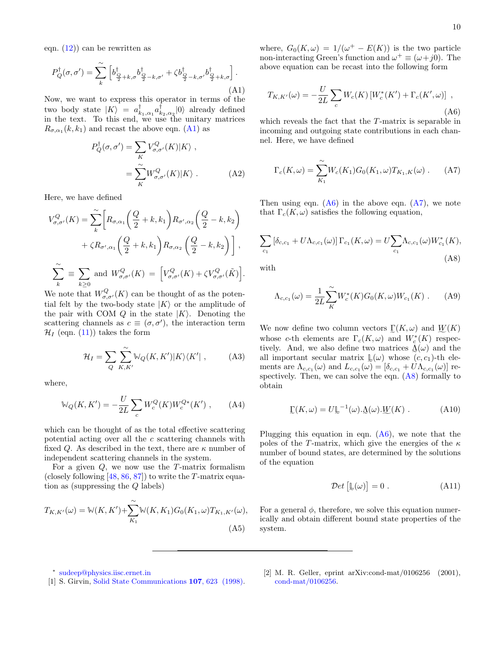eqn.  $(12)$  can be rewritten as

<span id="page-9-6"></span>
$$
P_Q^{\dagger}(\sigma, \sigma') = \sum_{k}^{\infty} \left[ b_{\frac{Q}{2} + k, \sigma}^{\dagger} b_{\frac{Q}{2} - k, \sigma'}^{\dagger} + \zeta b_{\frac{Q}{2} - k, \sigma'}^{\dagger} b_{\frac{Q}{2} + k, \sigma}^{\dagger} \right].
$$
\n(A1)

Now, we want to express this operator in terms of the two body state  $|K\rangle = a^{\dagger}_{k_1,\alpha_1}a^{\dagger}_{k_2,\alpha_2}|0\rangle$  already defined in the text. To this end, we use the unitary matrices  $R_{\sigma,\alpha_1}(k,k_1)$  and recast the above eqn. [\(A1\)](#page-9-6) as

<span id="page-9-5"></span>
$$
P_Q^{\dagger}(\sigma, \sigma') = \sum_K V_{\sigma, \sigma'}^Q(K) |K\rangle ,
$$
  
= 
$$
\sum_K^{\sim} W_{\sigma, \sigma'}^Q(K) |K\rangle .
$$
 (A2)

Here, we have defined

<span id="page-9-3"></span>
$$
V_{\sigma,\sigma'}^{Q}(K) = \sum_{k}^{\infty} \left[ R_{\sigma,\alpha_1} \left( \frac{Q}{2} + k, k_1 \right) R_{\sigma',\alpha_2} \left( \frac{Q}{2} - k, k_2 \right) \right. \\ \left. + \zeta R_{\sigma',\alpha_1} \left( \frac{Q}{2} + k, k_1 \right) R_{\sigma,\alpha_2} \left( \frac{Q}{2} - k, k_2 \right) \right],
$$
  

$$
\sum_{k}^{\infty} \equiv \sum_{k \ge 0} \text{ and } W_{\sigma,\sigma'}^{Q}(K) = \left[ V_{\sigma,\sigma'}^{Q}(K) + \zeta V_{\sigma,\sigma'}^{Q}(\tilde{K}) \right].
$$

We note that  $W_{\sigma,\sigma'}^Q(K)$  can be thought of as the potential felt by the two-body state  $|K\rangle$  or the amplitude of the pair with COM Q in the state  $|K\rangle$ . Denoting the scattering channels as  $c \equiv (\sigma, \sigma')$ , the interaction term  $\mathcal{H}_I$  (eqn. [\(11\)](#page-3-1)) takes the form

$$
\mathcal{H}_I = \sum_{Q} \sum_{K,K'}^{\sim} \mathbb{W}_Q(K,K') |K\rangle\langle K'| \,, \tag{A3}
$$

where,

<span id="page-9-2"></span>
$$
\mathbb{W}_Q(K, K') = -\frac{U}{2L} \sum_c W_c^Q(K) W_c^{Q*}(K') , \qquad (A4)
$$

which can be thought of as the total effective scattering potential acting over all the  $c$  scattering channels with fixed Q. As described in the text, there are  $\kappa$  number of independent scattering channels in the system.

For a given  $Q$ , we now use the T-matrix formalism (closely following  $[48, 86, 87]$  $[48, 86, 87]$  $[48, 86, 87]$  $[48, 86, 87]$ ) to write the T-matrix equation as (suppressing the Q labels)

$$
T_{K,K'}(\omega) = \mathbb{W}(K,K') + \sum_{K_1}^{\infty} \mathbb{W}(K,K_1)G_0(K_1,\omega)T_{K_1,K'}(\omega),
$$
\n(A5)

where,  $G_0(K, \omega) = 1/(\omega^+ - E(K))$  is the two particle non-interacting Green's function and  $\omega^+ \equiv (\omega + j0)$ . The above equation can be recast into the following form

<span id="page-9-7"></span>
$$
T_{K,K'}(\omega) = -\frac{U}{2L} \sum_{c} W_c(K) \left[ W_c^*(K') + \Gamma_c(K', \omega) \right] ,
$$
\n(A6)

which reveals the fact that the T-matrix is separable in incoming and outgoing state contributions in each channel. Here, we have defined

<span id="page-9-8"></span>
$$
\Gamma_c(K,\omega) = \sum_{K_1}^{\infty} W_c(K_1) G_0(K_1,\omega) T_{K_1,K}(\omega) . \tag{A7}
$$

Then using eqn.  $(A6)$  in the above eqn.  $(A7)$ , we note that  $\Gamma_c(K, \omega)$  satisfies the following equation,

<span id="page-9-9"></span>
$$
\sum_{c_1} [\delta_{c,c_1} + U\Lambda_{c,c_1}(\omega)] \Gamma_{c_1}(K,\omega) = U \sum_{c_1} \Lambda_{c,c_1}(\omega) W_{c_1}^*(K),
$$
\n(A8)

with

$$
\Lambda_{c,c_1}(\omega) = \frac{1}{2L} \sum_{K}^{\infty} W_c^*(K) G_0(K, \omega) W_{c_1}(K) \ . \tag{A9}
$$

We now define two column vectors  $\mathcal{L}(K,\omega)$  and  $\mathcal{W}(K)$ whose c-th elements are  $\Gamma_c(K,\omega)$  and  $W_c^*(K)$  respectively. And, we also define two matrices  $\mathcal{L}(\omega)$  and the all important secular matrix  $\mathbb{L}(\omega)$  whose  $(c, c_1)$ -th elements are  $\Lambda_{c,c_1}(\omega)$  and  $L_{c,c_1}(\omega) = [\delta_{c,c_1} + U \Lambda_{c,c_1}(\omega)]$  respectively. Then, we can solve the eqn.  $(A8)$  formally to obtain

$$
\underline{\Gamma}(K,\omega) = U \underline{\mathbb{L}}^{-1}(\omega) . \underline{\Lambda}(\omega) . \underline{W}(K) . \tag{A10}
$$

Plugging this equation in eqn.  $(A6)$ , we note that the poles of the T-matrix, which give the energies of the  $\kappa$ number of bound states, are determined by the solutions of the equation

<span id="page-9-4"></span>
$$
\mathcal{D}et\left[\mathbb{L}(\omega)\right] = 0\ .\tag{A11}
$$

For a general  $\phi$ , therefore, we solve this equation numerically and obtain different bound state properties of the system.

[2] M. R. Geller, eprint arXiv:cond-mat/0106256 (2001), [cond-mat/0106256.](http://arxiv.org/abs/cond-mat/0106256)

<span id="page-9-0"></span><sup>∗</sup> [sudeep@physics.iisc.ernet.in](mailto:sudeep@physics.iisc.ernet.in)

<span id="page-9-1"></span><sup>[1]</sup> S. Girvin, [Solid State Communications](http://dx.doi.org/http://dx.doi.org/10.1016/S0038-1098(98)00219-1) 107, 623 (1998).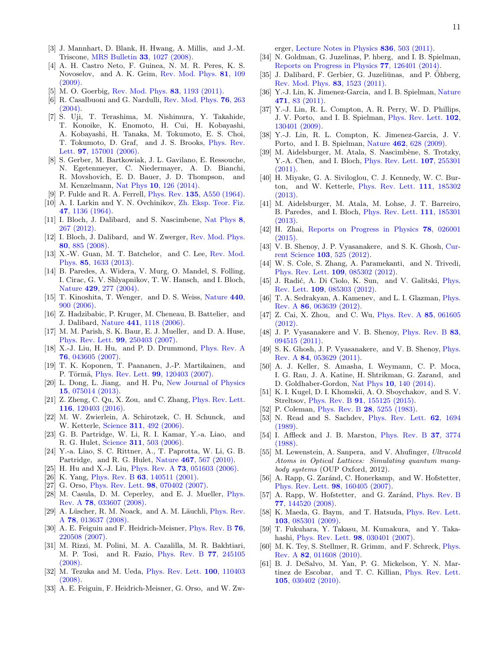- [3] J. Mannhart, D. Blank, H. Hwang, A. Millis, and J.-M. Triscone, [MRS Bulletin](http://dx.doi.org/ 10.1557/mrs2008.222) 33, 1027 (2008).
- <span id="page-10-33"></span>[4] A. H. Castro Neto, F. Guinea, N. M. R. Peres, K. S. Novoselov, and A. K. Geim, [Rev. Mod. Phys.](http://dx.doi.org/ 10.1103/RevModPhys.81.109) 81, 109 [\(2009\).](http://dx.doi.org/ 10.1103/RevModPhys.81.109)
- <span id="page-10-0"></span>M. O. Goerbig, [Rev. Mod. Phys.](http://dx.doi.org/10.1103/RevModPhys.83.1193) **83**, 1193 (2011).
- <span id="page-10-1"></span>[6] R. Casalbuoni and G. Nardulli, [Rev. Mod. Phys.](http://dx.doi.org/10.1103/RevModPhys.76.263) **76**, 263 [\(2004\).](http://dx.doi.org/10.1103/RevModPhys.76.263)
- [7] S. Uji, T. Terashima, M. Nishimura, Y. Takahide, T. Konoike, K. Enomoto, H. Cui, H. Kobayashi, A. Kobayashi, H. Tanaka, M. Tokumoto, E. S. Choi, T. Tokumoto, D. Graf, and J. S. Brooks, [Phys. Rev.](http://dx.doi.org/ 10.1103/PhysRevLett.97.157001) Lett. **97**[, 157001 \(2006\).](http://dx.doi.org/ 10.1103/PhysRevLett.97.157001)
- <span id="page-10-2"></span>[8] S. Gerber, M. Bartkowiak, J. L. Gavilano, E. Ressouche, N. Egetenmeyer, C. Niedermayer, A. D. Bianchi, R. Movshovich, E. D. Bauer, J. D. Thompson, and M. Kenzelmann, Nat Phys 10[, 126 \(2014\).](http://dx.doi.org/ 10.1038/nphys2833)
- <span id="page-10-3"></span>[9] P. Fulde and R. A. Ferrell, Phys. Rev. 135[, A550 \(1964\).](http://dx.doi.org/10.1103/PhysRev.135.A550)
- <span id="page-10-4"></span>[10] A. I. Larkin and Y. N. Ovchinikov, [Zh. Eksp. Teor. Fiz.](http://inspirehep.net/record/47905?ln=en) 47[, 1136 \(1964\).](http://inspirehep.net/record/47905?ln=en)
- <span id="page-10-5"></span>[11] I. Bloch, J. Dalibard, and S. Nascimbene, [Nat Phys](http://dx.doi.org/10.1038/nphys2259) 8, [267 \(2012\).](http://dx.doi.org/10.1038/nphys2259)
- <span id="page-10-6"></span>[12] I. Bloch, J. Dalibard, and W. Zwerger, [Rev. Mod. Phys.](http://dx.doi.org/10.1103/RevModPhys.80.885) 80[, 885 \(2008\).](http://dx.doi.org/10.1103/RevModPhys.80.885)
- <span id="page-10-7"></span>[13] X.-W. Guan, M. T. Batchelor, and C. Lee, [Rev. Mod.](http://dx.doi.org/10.1103/RevModPhys.85.1633) Phys. 85[, 1633 \(2013\).](http://dx.doi.org/10.1103/RevModPhys.85.1633)
- <span id="page-10-8"></span>[14] B. Paredes, A. Widera, V. Murg, O. Mandel, S. Folling, I. Cirac, G. V. Shlyapnikov, T. W. Hansch, and I. Bloch, Nature 429[, 277 \(2004\).](http://www.nature.com/nature/journal/v429/n6989/full/nature02530.html)
- <span id="page-10-9"></span>[15] T. Kinoshita, T. Wenger, and D. S. Weiss, [Nature](http://dx.doi.org/10.1038/nature04693)  $440$ , [900 \(2006\).](http://dx.doi.org/10.1038/nature04693)
- <span id="page-10-10"></span>[16] Z. Hadzibabic, P. Kruger, M. Cheneau, B. Battelier, and J. Dalibard, Nature 441[, 1118 \(2006\).](http://www.nature.com/nature/journal/v441/n7097/abs/nature04851.html)
- <span id="page-10-11"></span>[17] M. M. Parish, S. K. Baur, E. J. Mueller, and D. A. Huse, [Phys. Rev. Lett.](http://dx.doi.org/10.1103/PhysRevLett.99.250403) 99, 250403 (2007).
- [18] X.-J. Liu, H. Hu, and P. D. Drummond, [Phys. Rev. A](http://dx.doi.org/10.1103/PhysRevA.76.043605) 76[, 043605 \(2007\).](http://dx.doi.org/10.1103/PhysRevA.76.043605)
- [19] T. K. Koponen, T. Paananen, J.-P. Martikainen, and P. Törmä, [Phys. Rev. Lett.](http://dx.doi.org/10.1103/PhysRevLett.99.120403) 99, 120403 (2007).
- [20] L. Dong, L. Jiang, and H. Pu, [New Journal of Physics](http://stacks.iop.org/1367-2630/15/i=7/a=075014) 15[, 075014 \(2013\).](http://stacks.iop.org/1367-2630/15/i=7/a=075014)
- <span id="page-10-12"></span>[21] Z. Zheng, C. Qu, X. Zou, and C. Zhang, [Phys. Rev. Lett.](http://dx.doi.org/ 10.1103/PhysRevLett.116.120403) 116[, 120403 \(2016\).](http://dx.doi.org/ 10.1103/PhysRevLett.116.120403)
- <span id="page-10-13"></span>[22] M. W. Zwierlein, A. Schirotzek, C. H. Schunck, and W. Ketterle, Science 311[, 492 \(2006\).](http://dx.doi.org/10.1126/science.1122318)
- <span id="page-10-15"></span>[23] G. B. Partridge, W. Li, R. I. Kamar, Y.-a. Liao, and R. G. Hulet, Science 311[, 503 \(2006\).](http://dx.doi.org/ 10.1126/science.1122876)
- <span id="page-10-14"></span>[24] Y.-a. Liao, S. C. Rittner, A., T. Paprotta, W. Li, G. B. Partridge, and R. G. Hulet, Nature 467[, 567 \(2010\).](http://dx.doi.org/10.1038/nature09393)
- <span id="page-10-16"></span>[25] H. Hu and X.-J. Liu, *Phys. Rev. A* **73**[, 051603 \(2006\).](http://dx.doi.org/10.1103/PhysRevA.73.051603)
- <span id="page-10-17"></span>[26] K. Yang, Phys. Rev. B **63**[, 140511 \(2001\).](http://dx.doi.org/10.1103/PhysRevB.63.140511)
- [27] G. Orso, [Phys. Rev. Lett.](http://dx.doi.org/10.1103/PhysRevLett.98.070402) 98, 070402 (2007).
- [28] M. Casula, D. M. Ceperley, and E. J. Mueller, [Phys.](http://dx.doi.org/10.1103/PhysRevA.78.033607) Rev. A 78[, 033607 \(2008\).](http://dx.doi.org/10.1103/PhysRevA.78.033607)
- <span id="page-10-45"></span>[29] A. Lüscher, R. M. Noack, and A. M. Läuchli, *[Phys. Rev.](http://dx.doi.org/10.1103/PhysRevA.78.013637)* A 78[, 013637 \(2008\).](http://dx.doi.org/10.1103/PhysRevA.78.013637)
- [30] A. E. Feiguin and F. Heidrich-Meisner, [Phys. Rev. B](http://dx.doi.org/10.1103/PhysRevB.76.220508) 76, [220508 \(2007\).](http://dx.doi.org/10.1103/PhysRevB.76.220508)
- <span id="page-10-44"></span>[31] M. Rizzi, M. Polini, M. A. Cazalilla, M. R. Bakhtiari, M. P. Tosi, and R. Fazio, [Phys. Rev. B](http://dx.doi.org/ 10.1103/PhysRevB.77.245105) 77, 245105 [\(2008\).](http://dx.doi.org/ 10.1103/PhysRevB.77.245105)
- [32] M. Tezuka and M. Ueda, [Phys. Rev. Lett.](http://dx.doi.org/10.1103/PhysRevLett.100.110403) 100, 110403 [\(2008\).](http://dx.doi.org/10.1103/PhysRevLett.100.110403)
- <span id="page-10-18"></span>[33] A. E. Feiguin, F. Heidrich-Meisner, G. Orso, and W. Zw-

erger, [Lecture Notes in Physics](http://link.springer.com/chapter/10.1007%2F978-3-642-21978-8_14) 836, 503 (2011).

- <span id="page-10-19"></span>[34] N. Goldman, G. Juzelinas, P. hberg, and I. B. Spielman, [Reports on Progress in Physics](http://stacks.iop.org/0034-4885/77/i=12/a=126401) 77, 126401 (2014).
- <span id="page-10-20"></span>[35] J. Dalibard, F. Gerbier, G. Juzeliūnas, and P. Ohberg, [Rev. Mod. Phys.](http://dx.doi.org/ 10.1103/RevModPhys.83.1523) 83, 1523 (2011).
- <span id="page-10-21"></span>[36] Y.-J. Lin, K. Jimenez-Garcia, and I. B. Spielman, [Nature](http://dx.doi.org/??) 471[, 83 \(2011\).](http://dx.doi.org/??)
- [37] Y.-J. Lin, R. L. Compton, A. R. Perry, W. D. Phillips, J. V. Porto, and I. B. Spielman, [Phys. Rev. Lett.](http://dx.doi.org/ 10.1103/PhysRevLett.102.130401) 102, [130401 \(2009\).](http://dx.doi.org/ 10.1103/PhysRevLett.102.130401)
- <span id="page-10-22"></span>[38] Y.-J. Lin, R. L. Compton, K. Jimenez-Garcia, J. V. Porto, and I. B. Spielman, Nature 462[, 628 \(2009\).](http://dx.doi.org/10.1038/nature08609)
- <span id="page-10-23"></span>[39] M. Aidelsburger, M. Atala, S. Nascimbène, S. Trotzky, Y.-A. Chen, and I. Bloch, *[Phys. Rev. Lett.](http://dx.doi.org/ 10.1103/PhysRevLett.107.255301)* **107**, 255301  $(2011)$
- [40] H. Miyake, G. A. Siviloglou, C. J. Kennedy, W. C. Burton, and W. Ketterle, [Phys. Rev. Lett.](http://dx.doi.org/10.1103/PhysRevLett.111.185302) 111, 185302 [\(2013\).](http://dx.doi.org/10.1103/PhysRevLett.111.185302)
- <span id="page-10-24"></span>[41] M. Aidelsburger, M. Atala, M. Lohse, J. T. Barreiro, B. Paredes, and I. Bloch, [Phys. Rev. Lett.](http://dx.doi.org/ 10.1103/PhysRevLett.111.185301) 111, 185301 [\(2013\).](http://dx.doi.org/ 10.1103/PhysRevLett.111.185301)
- <span id="page-10-25"></span>[42] H. Zhai, [Reports on Progress in Physics](http://stacks.iop.org/0034-4885/78/i=2/a=026001) 78, 026001 [\(2015\).](http://stacks.iop.org/0034-4885/78/i=2/a=026001)
- <span id="page-10-26"></span>[43] V. B. Shenoy, J. P. Vyasanakere, and S. K. Ghosh, [Cur](http://www.currentscience.ac.in/Volumes/103/05/0525.pdf)rent Science 103[, 525 \(2012\).](http://www.currentscience.ac.in/Volumes/103/05/0525.pdf)
- <span id="page-10-27"></span>[44] W. S. Cole, S. Zhang, A. Paramekanti, and N. Trivedi, [Phys. Rev. Lett.](http://dx.doi.org/10.1103/PhysRevLett.109.085302) 109, 085302 (2012).
- <span id="page-10-28"></span>[45] J. Radić, A. Di Ciolo, K. Sun, and V. Galitski, *[Phys.](http://dx.doi.org/ 10.1103/PhysRevLett.109.085303)* Rev. Lett. 109[, 085303 \(2012\).](http://dx.doi.org/ 10.1103/PhysRevLett.109.085303)
- [46] T. A. Sedrakyan, A. Kamenev, and L. I. Glazman, [Phys.](http://dx.doi.org/10.1103/PhysRevA.86.063639) Rev. A 86[, 063639 \(2012\).](http://dx.doi.org/10.1103/PhysRevA.86.063639)
- <span id="page-10-29"></span>[47] Z. Cai, X. Zhou, and C. Wu, [Phys. Rev. A](http://dx.doi.org/ 10.1103/PhysRevA.85.061605) 85, 061605 [\(2012\).](http://dx.doi.org/ 10.1103/PhysRevA.85.061605)
- <span id="page-10-30"></span>[48] J. P. Vyasanakere and V. B. Shenoy, [Phys. Rev. B](http://dx.doi.org/10.1103/PhysRevB.83.094515) 83, [094515 \(2011\).](http://dx.doi.org/10.1103/PhysRevB.83.094515)
- <span id="page-10-31"></span>[49] S. K. Ghosh, J. P. Vyasanakere, and V. B. Shenoy, [Phys.](http://dx.doi.org/10.1103/PhysRevA.84.053629) Rev. A 84[, 053629 \(2011\).](http://dx.doi.org/10.1103/PhysRevA.84.053629)
- <span id="page-10-32"></span>[50] A. J. Keller, S. Amasha, I. Weymann, C. P. Moca, I. G. Rau, J. A. Katine, H. Shtrikman, G. Zarand, and D. Goldhaber-Gordon, Nat Phys 10[, 140 \(2014\).](http://dx.doi.org/10.1038/nphys2844)
- <span id="page-10-34"></span>[51] K. I. Kugel, D. I. Khomskii, A. O. Sboychakov, and S. V. Streltsov, Phys. Rev. B 91[, 155125 \(2015\).](http://dx.doi.org/10.1103/PhysRevB.91.155125)
- <span id="page-10-35"></span>[52] P. Coleman, Phys. Rev. B **28**[, 5255 \(1983\).](http://dx.doi.org/10.1103/PhysRevB.28.5255)
- <span id="page-10-36"></span>[53] N. Read and S. Sachdev, [Phys. Rev. Lett.](http://dx.doi.org/10.1103/PhysRevLett.62.1694) **62**, 1694 [\(1989\).](http://dx.doi.org/10.1103/PhysRevLett.62.1694)
- <span id="page-10-37"></span>[54] I. Affleck and J. B. Marston, [Phys. Rev. B](http://dx.doi.org/10.1103/PhysRevB.37.3774) 37, 3774 [\(1988\).](http://dx.doi.org/10.1103/PhysRevB.37.3774)
- <span id="page-10-38"></span>[55] M. Lewenstein, A. Sanpera, and V. Ahufinger, Ultracold Atoms in Optical Lattices: Simulating quantum manybody systems (OUP Oxford, 2012).
- <span id="page-10-39"></span>[56] A. Rapp, G. Zaránd, C. Honerkamp, and W. Hofstetter, [Phys. Rev. Lett.](http://dx.doi.org/10.1103/PhysRevLett.98.160405) 98, 160405 (2007).
- [57] A. Rapp, W. Hofstetter, and G. Zaránd, [Phys. Rev. B](http://dx.doi.org/10.1103/PhysRevB.77.144520) 77[, 144520 \(2008\).](http://dx.doi.org/10.1103/PhysRevB.77.144520)
- <span id="page-10-40"></span>[58] K. Maeda, G. Baym, and T. Hatsuda, [Phys. Rev. Lett.](http://dx.doi.org/10.1103/PhysRevLett.103.085301) 103[, 085301 \(2009\).](http://dx.doi.org/10.1103/PhysRevLett.103.085301)
- <span id="page-10-41"></span>[59] T. Fukuhara, Y. Takasu, M. Kumakura, and Y. Takahashi, [Phys. Rev. Lett.](http://dx.doi.org/10.1103/PhysRevLett.98.030401) 98, 030401 (2007).
- <span id="page-10-42"></span>[60] M. K. Tey, S. Stellmer, R. Grimm, and F. Schreck, [Phys.](http://dx.doi.org/ 10.1103/PhysRevA.82.011608) Rev. A 82[, 011608 \(2010\).](http://dx.doi.org/ 10.1103/PhysRevA.82.011608)
- <span id="page-10-43"></span>[61] B. J. DeSalvo, M. Yan, P. G. Mickelson, Y. N. Martinez de Escobar, and T. C. Killian, [Phys. Rev. Lett.](http://dx.doi.org/10.1103/PhysRevLett.105.030402) 105[, 030402 \(2010\).](http://dx.doi.org/10.1103/PhysRevLett.105.030402)